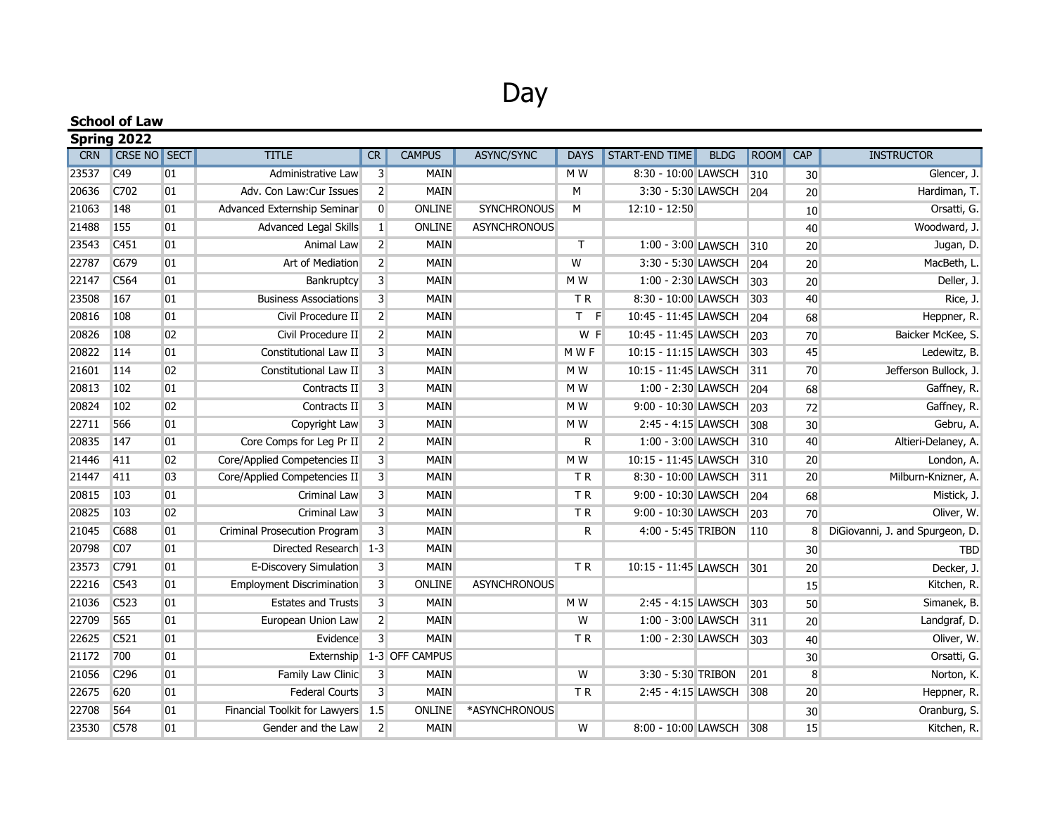## Day

| <b>School of Law</b><br>Spring 2022 |                  |    |                                  |                         |                |                     |                |                      |  |     |            |                                 |
|-------------------------------------|------------------|----|----------------------------------|-------------------------|----------------|---------------------|----------------|----------------------|--|-----|------------|---------------------------------|
|                                     |                  |    |                                  |                         |                |                     |                |                      |  |     | <b>CRN</b> | <b>CRSE NO SECT</b>             |
| 23537                               | C49              | 01 | Administrative Law               | $\overline{3}$          | <b>MAIN</b>    |                     | M W            | 8:30 - 10:00 LAWSCH  |  | 310 | 30         | Glencer, J.                     |
| 20636                               | C702             | 01 | Adv. Con Law:Cur Issues          | $\overline{2}$          | <b>MAIN</b>    |                     | м              | 3:30 - 5:30 LAWSCH   |  | 204 | 20         | Hardiman, T.                    |
| 21063                               | 148              | 01 | Advanced Externship Seminar      | $\mathbf 0$             | ONLINE         | <b>SYNCHRONOUS</b>  | M              | $12:10 - 12:50$      |  |     | 10         | Orsatti, G.                     |
| 21488                               | 155              | 01 | Advanced Legal Skills            | $\mathbf{1}$            | ONLINE         | <b>ASYNCHRONOUS</b> |                |                      |  |     | 40         | Woodward, J.                    |
| 23543                               | C451             | 01 | Animal Law                       | $\overline{2}$          | <b>MAIN</b>    |                     | $\mathsf{T}$   | 1:00 - 3:00 LAWSCH   |  | 310 | 20         | Jugan, D.                       |
| 22787                               | C679             | 01 | Art of Mediation                 | $\overline{2}$          | MAIN           |                     | W              | 3:30 - 5:30 LAWSCH   |  | 204 | 20         | MacBeth, L.                     |
| 22147                               | C564             | 01 | Bankruptcy                       | 3                       | <b>MAIN</b>    |                     | M W            | 1:00 - 2:30 LAWSCH   |  | 303 | 20         | Deller, J.                      |
| 23508                               | 167              | 01 | <b>Business Associations</b>     | 3                       | MAIN           |                     | TR.            | 8:30 - 10:00 LAWSCH  |  | 303 | 40         | Rice, J.                        |
| 20816                               | 108              | 01 | Civil Procedure II               | $\overline{2}$          | MAIN           |                     | T F            | 10:45 - 11:45 LAWSCH |  | 204 | 68         | Heppner, R.                     |
| 20826                               | 108              | 02 | Civil Procedure II               | $\overline{2}$          | <b>MAIN</b>    |                     | W F            | 10:45 - 11:45 LAWSCH |  | 203 | 70         | Baicker McKee, S.               |
| 20822                               | 114              | 01 | Constitutional Law II            | 3                       | MAIN           |                     | M W F          | 10:15 - 11:15 LAWSCH |  | 303 | 45         | Ledewitz, B                     |
| 21601                               | 114              | 02 | Constitutional Law II            | 3                       | <b>MAIN</b>    |                     | M W            | 10:15 - 11:45 LAWSCH |  | 311 | 70         | Jefferson Bullock, J.           |
| 20813                               | 102              | 01 | Contracts II                     | 3                       | <b>MAIN</b>    |                     | M W            | 1:00 - 2:30 LAWSCH   |  | 204 | 68         | Gaffney, R.                     |
| 20824                               | 102              | 02 | Contracts II                     | 3                       | <b>MAIN</b>    |                     | M W            | 9:00 - 10:30 LAWSCH  |  | 203 | 72         | Gaffney, R.                     |
| 22711                               | 566              | 01 | Copyright Law                    | $\overline{3}$          | <b>MAIN</b>    |                     | M W            | 2:45 - 4:15 LAWSCH   |  | 308 | 30         | Gebru, A.                       |
| 20835                               | 147              | 01 | Core Comps for Leg Pr II         | $\overline{2}$          | <b>MAIN</b>    |                     | ${\sf R}$      | 1:00 - 3:00 LAWSCH   |  | 310 | 40         | Altieri-Delaney, A.             |
| 21446                               | 411              | 02 | Core/Applied Competencies II     | $\overline{3}$          | <b>MAIN</b>    |                     | M W            | 10:15 - 11:45 LAWSCH |  | 310 | 20         | London, A.                      |
| 21447                               | 411              | 03 | Core/Applied Competencies II     | 3                       | MAIN           |                     | TR.            | 8:30 - 10:00 LAWSCH  |  | 311 | 20         | Milburn-Knizner, A.             |
| 20815                               | 103              | 01 | Criminal Law                     | 3                       | MAIN           |                     | TR             | 9:00 - 10:30 LAWSCH  |  | 204 | 68         | Mistick, J.                     |
| 20825                               | 103              | 02 | Criminal Law                     | 3                       | <b>MAIN</b>    |                     | TR <sub></sub> | 9:00 - 10:30 LAWSCH  |  | 203 | 70         | Oliver, W.                      |
| 21045                               | C688             | 01 | Criminal Prosecution Program     | 3                       | MAIN           |                     | R              | 4:00 - 5:45 TRIBON   |  | 110 | 8          | DiGiovanni, J. and Spurgeon, D. |
| 20798                               | CO <sub>7</sub>  | 01 | Directed Research 1-3            |                         | <b>MAIN</b>    |                     |                |                      |  |     | 30         | <b>TBD</b>                      |
| 23573                               | C791             | 01 | E-Discovery Simulation           | 3                       | MAIN           |                     | <b>TR</b>      | 10:15 - 11:45 LAWSCH |  | 301 | 20         | Decker, J.                      |
| 22216                               | C543             | 01 | <b>Employment Discrimination</b> | $\overline{\mathbf{3}}$ | ONLINE         | <b>ASYNCHRONOUS</b> |                |                      |  |     | 15         | Kitchen, R.                     |
| 21036                               | C523             | 01 | <b>Estates and Trusts</b>        | 3                       | <b>MAIN</b>    |                     | M W            | 2:45 - 4:15 LAWSCH   |  | 303 | 50         | Simanek, B.                     |
| 22709                               | 565              | 01 | European Union Law               | $\overline{2}$          | MAIN           |                     | W              | 1:00 - 3:00 LAWSCH   |  | 311 | 20         | Landgraf, D.                    |
| 22625                               | C521             | 01 | Evidence                         | $\overline{3}$          | <b>MAIN</b>    |                     | TR.            | 1:00 - 2:30 LAWSCH   |  | 303 | 40         | Oliver, W.                      |
| 21172                               | 700              | 01 | Externship                       |                         | 1-3 OFF CAMPUS |                     |                |                      |  |     | 30         | Orsatti, G.                     |
| 21056                               | C296             | 01 | Family Law Clinic                | $\overline{3}$          | <b>MAIN</b>    |                     | W              | 3:30 - 5:30 TRIBON   |  | 201 | 8          | Norton, K.                      |
| 22675                               | 620              | 01 | Federal Courts                   | $\overline{3}$          | <b>MAIN</b>    |                     | TR.            | 2:45 - 4:15 LAWSCH   |  | 308 | 20         | Heppner, R.                     |
| 22708                               | 564              | 01 | Financial Toolkit for Lawyers    | 1.5                     | ONLINE         | *ASYNCHRONOUS       |                |                      |  |     | 30         | Oranburg, S.                    |
| 23530                               | C <sub>578</sub> | 01 | Gender and the Law               | 2                       | <b>MAIN</b>    |                     | W              | 8:00 - 10:00 LAWSCH  |  | 308 | 15         | Kitchen, R.                     |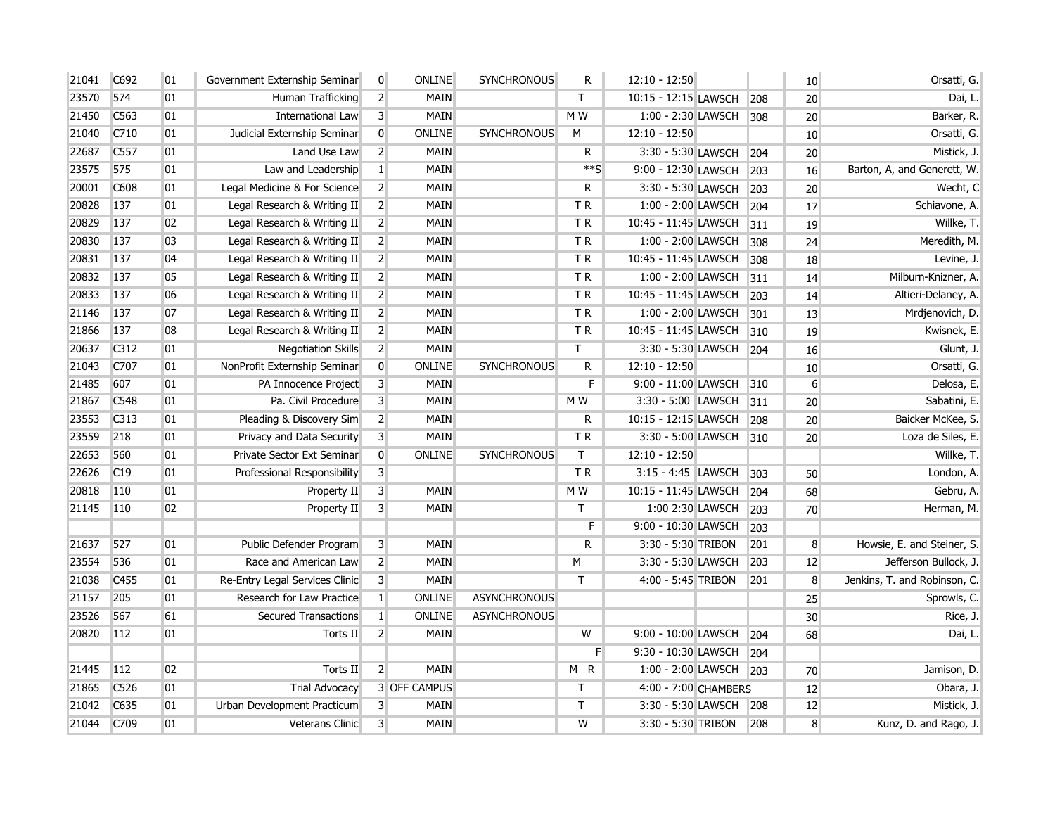| 21041 | C692 | 01 | Government Externship Seminar  | $\overline{0}$          | <b>ONLINE</b>       | <b>SYNCHRONOUS</b>  | ${\sf R}$               | $12:10 - 12:50$      |       | 10               | Orsatti, G.                  |
|-------|------|----|--------------------------------|-------------------------|---------------------|---------------------|-------------------------|----------------------|-------|------------------|------------------------------|
| 23570 | 574  | 01 | Human Trafficking              | $\overline{2}$          | MAIN                |                     | T.                      | 10:15 - 12:15 LAWSCH | 208   | 20               | Dai, L.                      |
| 21450 | C563 | 01 | International Law              | $\overline{3}$          | <b>MAIN</b>         |                     | M W                     | 1:00 - 2:30 LAWSCH   | 308   | 20               | Barker, R.                   |
| 21040 | C710 | 01 | Judicial Externship Seminar    | $\overline{0}$          | ONLINE              | <b>SYNCHRONOUS</b>  | М                       | $12:10 - 12:50$      |       | 10 <sup>°</sup>  | Orsatti, G.                  |
| 22687 | C557 | 01 | Land Use Law                   | $\overline{2}$          | <b>MAIN</b>         |                     | $\overline{\mathsf{R}}$ | 3:30 - 5:30 LAWSCH   | 204   | 20               | Mistick, J.                  |
| 23575 | 575  | 01 | Law and Leadership             | $\mathbf{1}$            | <b>MAIN</b>         |                     | $**S$                   | 9:00 - 12:30 LAWSCH  | 203   | 16               | Barton, A, and Generett, W.  |
| 20001 | C608 | 01 | Legal Medicine & For Science   | $\overline{2}$          | <b>MAIN</b>         |                     | R                       | 3:30 - 5:30 LAWSCH   | 203   | 20 <sup>°</sup>  | Wecht, C                     |
| 20828 | 137  | 01 | Legal Research & Writing II    | $\overline{2}$          | MAIN                |                     | TR.                     | 1:00 - 2:00 LAWSCH   | 204   | 17               | Schiavone, A.                |
| 20829 | 137  | 02 | Legal Research & Writing II    | $\overline{2}$          | <b>MAIN</b>         |                     | TR                      | 10:45 - 11:45 LAWSCH | 311   | 19               | Willke, T.                   |
| 20830 | 137  | 03 | Legal Research & Writing II    | $\overline{2}$          | <b>MAIN</b>         |                     | T R                     | 1:00 - 2:00 LAWSCH   | 308   | 24               | Meredith, M.                 |
| 20831 | 137  | 04 | Legal Research & Writing II    | $\overline{2}$          | <b>MAIN</b>         |                     | TR                      | 10:45 - 11:45 LAWSCH | 308   | 18               | Levine, J.                   |
| 20832 | 137  | 05 | Legal Research & Writing II    | $\overline{2}$          | <b>MAIN</b>         |                     | T R                     | 1:00 - 2:00 LAWSCH   | 311   | 14               | Milburn-Knizner, A.          |
| 20833 | 137  | 06 | Legal Research & Writing II    | $\overline{2}$          | <b>MAIN</b>         |                     | TR                      | 10:45 - 11:45 LAWSCH | 203   | 14               | Altieri-Delaney, A.          |
| 21146 | 137  | 07 | Legal Research & Writing II    | $\overline{2}$          | <b>MAIN</b>         |                     | T <sub>R</sub>          | 1:00 - 2:00 LAWSCH   | 301   | 13               | Mrdjenovich, D.              |
| 21866 | 137  | 08 | Legal Research & Writing II    | $\overline{2}$          | MAIN                |                     | TR                      | 10:45 - 11:45 LAWSCH | 310   | 19               | Kwisnek, E.                  |
| 20637 | C312 | 01 | <b>Negotiation Skills</b>      | $\overline{2}$          | <b>MAIN</b>         |                     | Т                       | 3:30 - 5:30 LAWSCH   | 204   | 16               | Glunt, J.                    |
| 21043 | C707 | 01 | NonProfit Externship Seminar   | $\overline{0}$          | ONLINE              | <b>SYNCHRONOUS</b>  | R                       | $12:10 - 12:50$      |       | 10               | Orsatti, G.                  |
| 21485 | 607  | 01 | PA Innocence Project           | 3                       | MAIN                |                     | F                       | 9:00 - 11:00 LAWSCH  | 310   | $6 \overline{6}$ | Delosa, E.                   |
| 21867 | C548 | 01 | Pa. Civil Procedure            | $\overline{\mathbf{3}}$ | <b>MAIN</b>         |                     | M W                     | 3:30 - 5:00 LAWSCH   | $311$ | 20               | Sabatini, E.                 |
| 23553 | C313 | 01 | Pleading & Discovery Sim       | $\overline{2}$          | <b>MAIN</b>         |                     | R                       | 10:15 - 12:15 LAWSCH | 208   | 20               | Baicker McKee, S.            |
| 23559 | 218  | 01 | Privacy and Data Security      | $\overline{3}$          | <b>MAIN</b>         |                     | T <sub>R</sub>          | 3:30 - 5:00 LAWSCH   | 310   | 20               | Loza de Siles, E.            |
| 22653 | 560  | 01 | Private Sector Ext Seminar     | $\overline{0}$          | ONLINE              | <b>SYNCHRONOUS</b>  | T.                      | 12:10 - 12:50        |       |                  | Willke, T.                   |
| 22626 | C19  | 01 | Professional Responsibility    | $\overline{\mathbf{3}}$ |                     |                     | TR                      | 3:15 - 4:45 LAWSCH   | 303   | 50               | London, A.                   |
| 20818 | 110  | 01 | Property II                    | $\mathsf{3}$            | <b>MAIN</b>         |                     | M W                     | 10:15 - 11:45 LAWSCH | 204   | 68               | Gebru, A.                    |
| 21145 | 110  | 02 | Property II                    | 3                       | <b>MAIN</b>         |                     | T.                      | 1:00 2:30 LAWSCH     | 203   | 70               | Herman, M.                   |
|       |      |    |                                |                         |                     |                     | F                       | 9:00 - 10:30 LAWSCH  | 203   |                  |                              |
| 21637 | 527  | 01 | Public Defender Program        | 3                       | <b>MAIN</b>         |                     | R                       | 3:30 - 5:30 TRIBON   | 201   | 8 <sup>°</sup>   | Howsie, E. and Steiner, S.   |
| 23554 | 536  | 01 | Race and American Law          | $\overline{2}$          | <b>MAIN</b>         |                     | M                       | 3:30 - 5:30 LAWSCH   | 203   | 12               | Jefferson Bullock, J.        |
| 21038 | C455 | 01 | Re-Entry Legal Services Clinic | 3                       | MAIN                |                     | T                       | 4:00 - 5:45 TRIBON   | 201   | 8                | Jenkins, T. and Robinson, C. |
| 21157 | 205  | 01 | Research for Law Practice      | $\vert 1 \vert$         | ONLINE              | <b>ASYNCHRONOUS</b> |                         |                      |       | 25               | Sprowls, C.                  |
| 23526 | 567  | 61 | <b>Secured Transactions</b>    | $\vert 1 \vert$         | ONLINE              | <b>ASYNCHRONOUS</b> |                         |                      |       | 30               | Rice, J.                     |
| 20820 | 112  | 01 | Torts II                       | $\overline{2}$          | <b>MAIN</b>         |                     | W                       | 9:00 - 10:00 LAWSCH  | 204   | 68               | Dai, L.                      |
|       |      |    |                                |                         |                     |                     | F                       | 9:30 - 10:30 LAWSCH  | 204   |                  |                              |
| 21445 | 112  | 02 | Torts II                       | $\overline{2}$          | <b>MAIN</b>         |                     | M <sub>R</sub>          | 1:00 - 2:00 LAWSCH   | 203   | 70               | Jamison, D.                  |
| 21865 | C526 | 01 | <b>Trial Advocacy</b>          |                         | <b>3 OFF CAMPUS</b> |                     | T                       | 4:00 - 7:00 CHAMBERS |       | 12               | Obara, J.                    |
| 21042 | C635 | 01 | Urban Development Practicum    | $\overline{3}$          | <b>MAIN</b>         |                     | T                       | 3:30 - 5:30 LAWSCH   | 208   | 12               | Mistick, J.                  |
| 21044 | C709 | 01 | Veterans Clinic                | $\overline{3}$          | <b>MAIN</b>         |                     | $\overline{\mathsf{W}}$ | 3:30 - 5:30 TRIBON   | 208   | 8                | Kunz, D. and Rago, J.        |